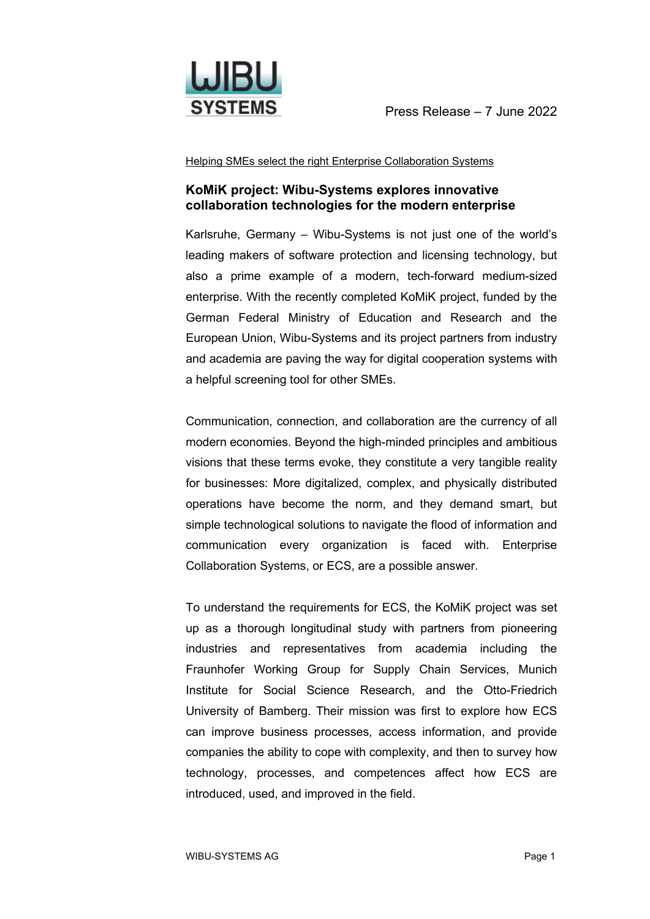

Helping SMEs select the right Enterprise Collaboration Systems

## **KoMiK project: Wibu-Systems explores innovative collaboration technologies for the modern enterprise**

Karlsruhe, Germany – Wibu-Systems is not just one of the world's leading makers of software protection and licensing technology, but also a prime example of a modern, tech-forward medium-sized enterprise. With the recently completed KoMiK project, funded by the German Federal Ministry of Education and Research and the European Union, Wibu-Systems and its project partners from industry and academia are paving the way for digital cooperation systems with a helpful screening tool for other SMEs.

Communication, connection, and collaboration are the currency of all modern economies. Beyond the high-minded principles and ambitious visions that these terms evoke, they constitute a very tangible reality for businesses: More digitalized, complex, and physically distributed operations have become the norm, and they demand smart, but simple technological solutions to navigate the flood of information and communication every organization is faced with. Enterprise Collaboration Systems, or ECS, are a possible answer.

To understand the requirements for ECS, the KoMiK project was set up as a thorough longitudinal study with partners from pioneering industries and representatives from academia including the Fraunhofer Working Group for Supply Chain Services, Munich Institute for Social Science Research, and the Otto-Friedrich University of Bamberg. Their mission was first to explore how ECS can improve business processes, access information, and provide companies the ability to cope with complexity, and then to survey how technology, processes, and competences affect how ECS are introduced, used, and improved in the field.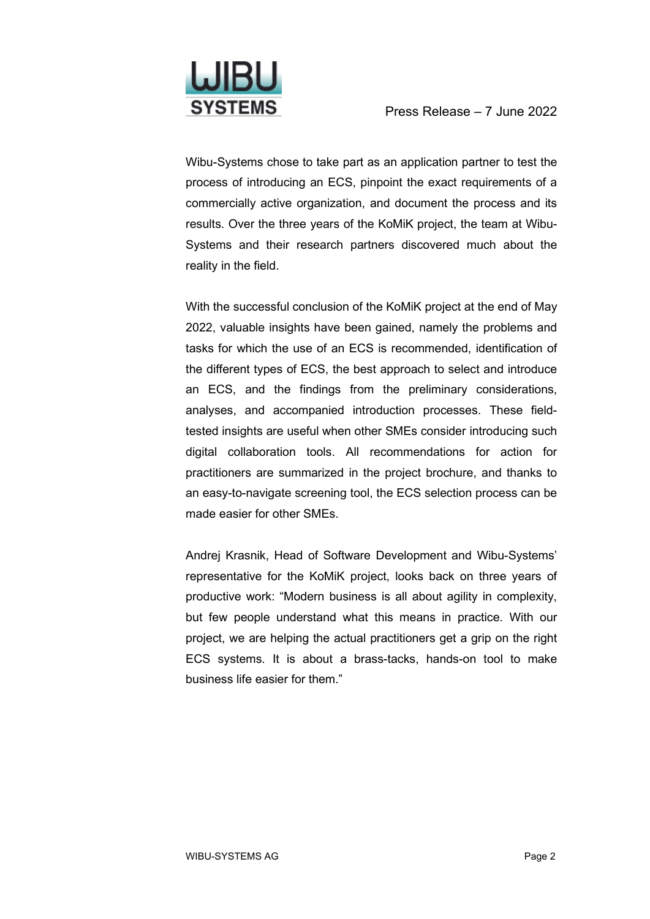

Wibu-Systems chose to take part as an application partner to test the process of introducing an ECS, pinpoint the exact requirements of a commercially active organization, and document the process and its results. Over the three years of the KoMiK project, the team at Wibu-Systems and their research partners discovered much about the reality in the field.

With the successful conclusion of the KoMiK project at the end of May 2022, valuable insights have been gained, namely the problems and tasks for which the use of an ECS is recommended, identification of the different types of ECS, the best approach to select and introduce an ECS, and the findings from the preliminary considerations, analyses, and accompanied introduction processes. These fieldtested insights are useful when other SMEs consider introducing such digital collaboration tools. All recommendations for action for practitioners are summarized in the project brochure, and thanks to an easy-to-navigate screening tool, the ECS selection process can be made easier for other SMEs.

Andrej Krasnik, Head of Software Development and Wibu-Systems' representative for the KoMiK project, looks back on three years of productive work: "Modern business is all about agility in complexity, but few people understand what this means in practice. With our project, we are helping the actual practitioners get a grip on the right ECS systems. It is about a brass-tacks, hands-on tool to make business life easier for them."